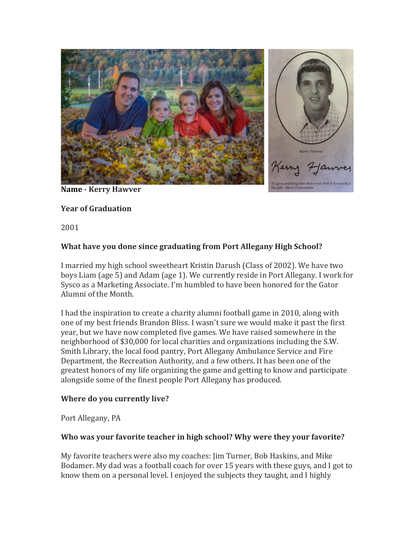

**Name - Kerry Hawver**

# **Year of Graduation**

2001

# **What have you done since graduating from Port Allegany High School?**

I married my high school sweetheart Kristin Darush (Class of 2002). We have two boys Liam (age 5) and Adam (age 1). We currently reside in Port Allegany. I work for Sysco as a Marketing Associate. I'm humbled to have been honored for the Gator Alumni of the Month.

I had the inspiration to create a charity alumni football game in 2010, along with one of my best friends Brandon Bliss. I wasn't sure we would make it past the first year, but we have now completed five games. We have raised somewhere in the neighborhood of \$30,000 for local charities and organizations including the S.W. Smith Library, the local food pantry, Port Allegany Ambulance Service and Fire Department, the Recreation Authority, and a few others. It has been one of the greatest honors of my life organizing the game and getting to know and participate alongside some of the finest people Port Allegany has produced.

### **Where do you currently live?**

Port Allegany, PA

# Who was your favorite teacher in high school? Why were they your favorite?

My favorite teachers were also my coaches: Jim Turner, Bob Haskins, and Mike Bodamer. My dad was a football coach for over 15 years with these guys, and I got to know them on a personal level. I enjoyed the subjects they taught, and I highly